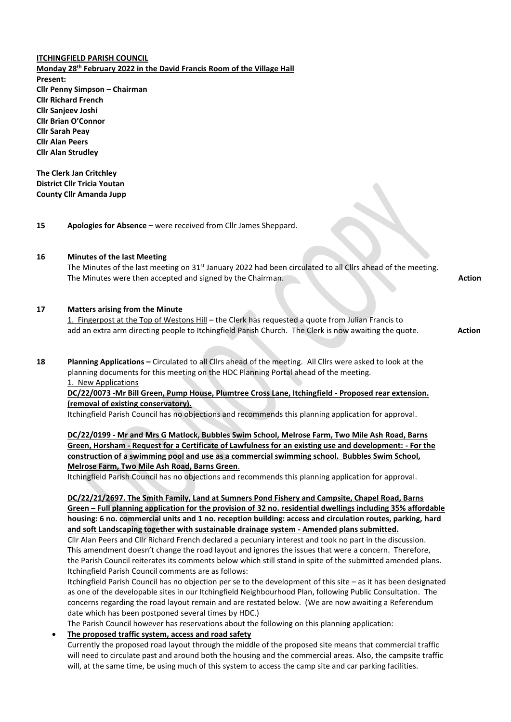**ITCHINGFIELD PARISH COUNCIL Monday 28th February 2022 in the David Francis Room of the Village Hall Present: Cllr Penny Simpson – Chairman Cllr Richard French Cllr Sanjeev Joshi Cllr Brian O'Connor Cllr Sarah Peay Cllr Alan Peers Cllr Alan Strudley**

**The Clerk Jan Critchley District Cllr Tricia Youtan County Cllr Amanda Jupp**

**15 Apologies for Absence –** were received from Cllr James Sheppard.

#### **16 Minutes of the last Meeting**

The Minutes of the last meeting on 31<sup>st</sup> January 2022 had been circulated to all Cllrs ahead of the meeting. The Minutes were then accepted and signed by the Chairman. **Action Action Action Action Action** 

#### **17 Matters arising from the Minute**

1. Fingerpost at the Top of Westons Hill – the Clerk has requested a quote from Julian Francis to add an extra arm directing people to Itchingfield Parish Church. The Clerk is now awaiting the quote. **Action** 

**18 Planning Applications –** Circulated to all Cllrs ahead of the meeting. All Cllrs were asked to look at the planning documents for this meeting on the HDC Planning Portal ahead of the meeting. 1. New Applications

**DC/22/0073 -Mr Bill Green, Pump House, Plumtree Cross Lane, Itchingfield - Proposed rear extension. (removal of existing conservatory).**

Itchingfield Parish Council has no objections and recommends this planning application for approval.

**DC/22/0199 - Mr and Mrs G Matlock, Bubbles Swim School, Melrose Farm, Two Mile Ash Road, Barns Green, Horsham - Request for a Certificate of Lawfulness for an existing use and development: - For the construction of a swimming pool and use as a commercial swimming school. Bubbles Swim School, Melrose Farm, Two Mile Ash Road, Barns Green**.

Itchingfield Parish Council has no objections and recommends this planning application for approval.

**DC/22/21/2697. The Smith Family, Land at Sumners Pond Fishery and Campsite, Chapel Road, Barns Green – Full planning application for the provision of 32 no. residential dwellings including 35% affordable housing: 6 no. commercial units and 1 no. reception building: access and circulation routes, parking, hard and soft Landscaping together with sustainable drainage system - Amended plans submitted.**

Cllr Alan Peers and Cllr Richard French declared a pecuniary interest and took no part in the discussion. This amendment doesn't change the road layout and ignores the issues that were a concern. Therefore, the Parish Council reiterates its comments below which still stand in spite of the submitted amended plans. Itchingfield Parish Council comments are as follows:

Itchingfield Parish Council has no objection per se to the development of this site – as it has been designated as one of the developable sites in our Itchingfield Neighbourhood Plan, following Public Consultation. The concerns regarding the road layout remain and are restated below. (We are now awaiting a Referendum date which has been postponed several times by HDC.)

The Parish Council however has reservations about the following on this planning application:

#### • **The proposed traffic system, access and road safety**

Currently the proposed road layout through the middle of the proposed site means that commercial traffic will need to circulate past and around both the housing and the commercial areas. Also, the campsite traffic will, at the same time, be using much of this system to access the camp site and car parking facilities.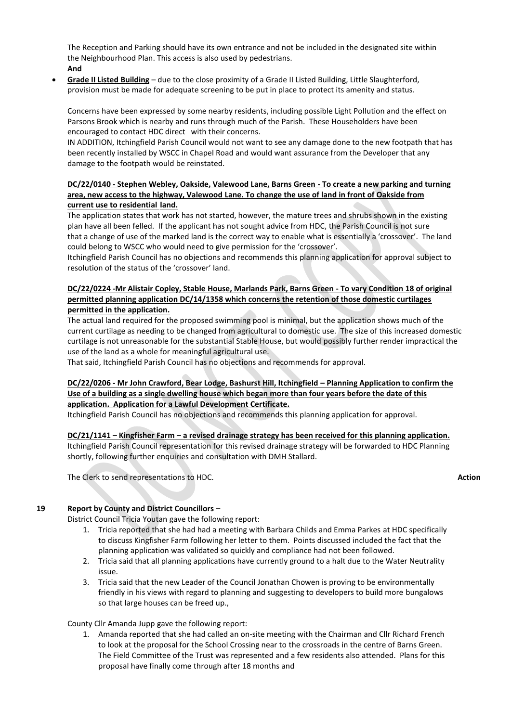The Reception and Parking should have its own entrance and not be included in the designated site within the Neighbourhood Plan. This access is also used by pedestrians.

- **And**
- **Grade II Listed Building** due to the close proximity of a Grade II Listed Building, Little Slaughterford, provision must be made for adequate screening to be put in place to protect its amenity and status.

Concerns have been expressed by some nearby residents, including possible Light Pollution and the effect on Parsons Brook which is nearby and runs through much of the Parish. These Householders have been encouraged to contact HDC direct with their concerns.

IN ADDITION, Itchingfield Parish Council would not want to see any damage done to the new footpath that has been recently installed by WSCC in Chapel Road and would want assurance from the Developer that any damage to the footpath would be reinstated.

### **DC/22/0140 - Stephen Webley, Oakside, Valewood Lane, Barns Green - To create a new parking and turning area, new access to the highway, Valewood Lane. To change the use of land in front of Oakside from current use to residential land.**

The application states that work has not started, however, the mature trees and shrubs shown in the existing plan have all been felled. If the applicant has not sought advice from HDC, the Parish Council is not sure that a change of use of the marked land is the correct way to enable what is essentially a 'crossover'. The land could belong to WSCC who would need to give permission for the 'crossover'.

Itchingfield Parish Council has no objections and recommends this planning application for approval subject to resolution of the status of the 'crossover' land.

# **DC/22/0224 -Mr Alistair Copley, Stable House, Marlands Park, Barns Green - To vary Condition 18 of original permitted planning application DC/14/1358 which concerns the retention of those domestic curtilages permitted in the application.**

The actual land required for the proposed swimming pool is minimal, but the application shows much of the current curtilage as needing to be changed from agricultural to domestic use. The size of this increased domestic curtilage is not unreasonable for the substantial Stable House, but would possibly further render impractical the use of the land as a whole for meaningful agricultural use.

That said, Itchingfield Parish Council has no objections and recommends for approval.

# **DC/22/0206 - Mr John Crawford, Bear Lodge, Bashurst Hill, Itchingfield – Planning Application to confirm the Use of a building as a single dwelling house which began more than four years before the date of this application. Application for a Lawful Development Certificate.**

Itchingfield Parish Council has no objections and recommends this planning application for approval.

**DC/21/1141 – Kingfisher Farm – a revised drainage strategy has been received for this planning application.** Itchingfield Parish Council representation for this revised drainage strategy will be forwarded to HDC Planning shortly, following further enquiries and consultation with DMH Stallard.

The Clerk to send representations to HDC. **Action** 

# **19 Report by County and District Councillors –**

District Council Tricia Youtan gave the following report:

- 1. Tricia reported that she had had a meeting with Barbara Childs and Emma Parkes at HDC specifically to discuss Kingfisher Farm following her letter to them. Points discussed included the fact that the planning application was validated so quickly and compliance had not been followed.
- 2. Tricia said that all planning applications have currently ground to a halt due to the Water Neutrality issue.
- 3. Tricia said that the new Leader of the Council Jonathan Chowen is proving to be environmentally friendly in his views with regard to planning and suggesting to developers to build more bungalows so that large houses can be freed up.,

### County Cllr Amanda Jupp gave the following report:

1. Amanda reported that she had called an on-site meeting with the Chairman and Cllr Richard French to look at the proposal for the School Crossing near to the crossroads in the centre of Barns Green. The Field Committee of the Trust was represented and a few residents also attended. Plans for this proposal have finally come through after 18 months and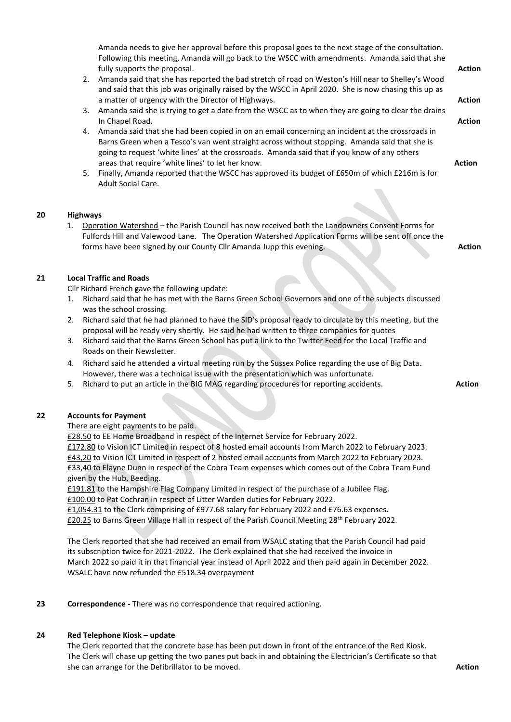Amanda needs to give her approval before this proposal goes to the next stage of the consultation. Following this meeting, Amanda will go back to the WSCC with amendments. Amanda said that she fully supports the proposal. **Action** 

- 2. Amanda said that she has reported the bad stretch of road on Weston's Hill near to Shelley's Wood and said that this job was originally raised by the WSCC in April 2020. She is now chasing this up as a matter of urgency with the Director of Highways. **Action**
- 3. Amanda said she is trying to get a date from the WSCC as to when they are going to clear the drains In Chapel Road. **Action**
- 4. Amanda said that she had been copied in on an email concerning an incident at the crossroads in Barns Green when a Tesco's van went straight across without stopping. Amanda said that she is going to request 'white lines' at the crossroads. Amanda said that if you know of any others areas that require 'white lines' to let her know. **Action**
- 5. Finally, Amanda reported that the WSCC has approved its budget of £650m of which £216m is for Adult Social Care.

### **20 Highways**

1. Operation Watershed - the Parish Council has now received both the Landowners Consent Forms for Fulfords Hill and Valewood Lane. The Operation Watershed Application Forms will be sent off once the forms have been signed by our County Cllr Amanda Jupp this evening. **Action** 

### **21 Local Traffic and Roads**

Cllr Richard French gave the following update:

- 1. Richard said that he has met with the Barns Green School Governors and one of the subjects discussed was the school crossing.
- 2. Richard said that he had planned to have the SID's proposal ready to circulate by this meeting, but the proposal will be ready very shortly. He said he had written to three companies for quotes
- 3. Richard said that the Barns Green School has put a link to the Twitter Feed for the Local Traffic and Roads on their Newsletter.
- 4. Richard said he attended a virtual meeting run by the Sussex Police regarding the use of Big Data. However, there was a technical issue with the presentation which was unfortunate.
- 5. Richard to put an article in the BIG MAG regarding procedures for reporting accidents. **Action**

# **22 Accounts for Payment**

### There are eight payments to be paid.

£28.50 to EE Home Broadband in respect of the Internet Service for February 2022. £172.80 to Vision ICT Limited in respect of 8 hosted email accounts from March 2022 to February 2023. £43,20 to Vision ICT Limited in respect of 2 hosted email accounts from March 2022 to February 2023. £33,40 to Elayne Dunn in respect of the Cobra Team expenses which comes out of the Cobra Team Fund given by the Hub, Beeding.

£191.81 to the Hampshire Flag Company Limited in respect of the purchase of a Jubilee Flag. £100.00 to Pat Cochran in respect of Litter Warden duties for February 2022.

£1,054.31 to the Clerk comprising of £977.68 salary for February 2022 and £76.63 expenses.

£20.25 to Barns Green Village Hall in respect of the Parish Council Meeting 28th February 2022.

The Clerk reported that she had received an email from WSALC stating that the Parish Council had paid its subscription twice for 2021-2022. The Clerk explained that she had received the invoice in March 2022 so paid it in that financial year instead of April 2022 and then paid again in December 2022. WSALC have now refunded the £518.34 overpayment

**23 Correspondence -** There was no correspondence that required actioning.

# **24 Red Telephone Kiosk – update**

The Clerk reported that the concrete base has been put down in front of the entrance of the Red Kiosk. The Clerk will chase up getting the two panes put back in and obtaining the Electrician's Certificate so that she can arrange for the Defibrillator to be moved. **Action**